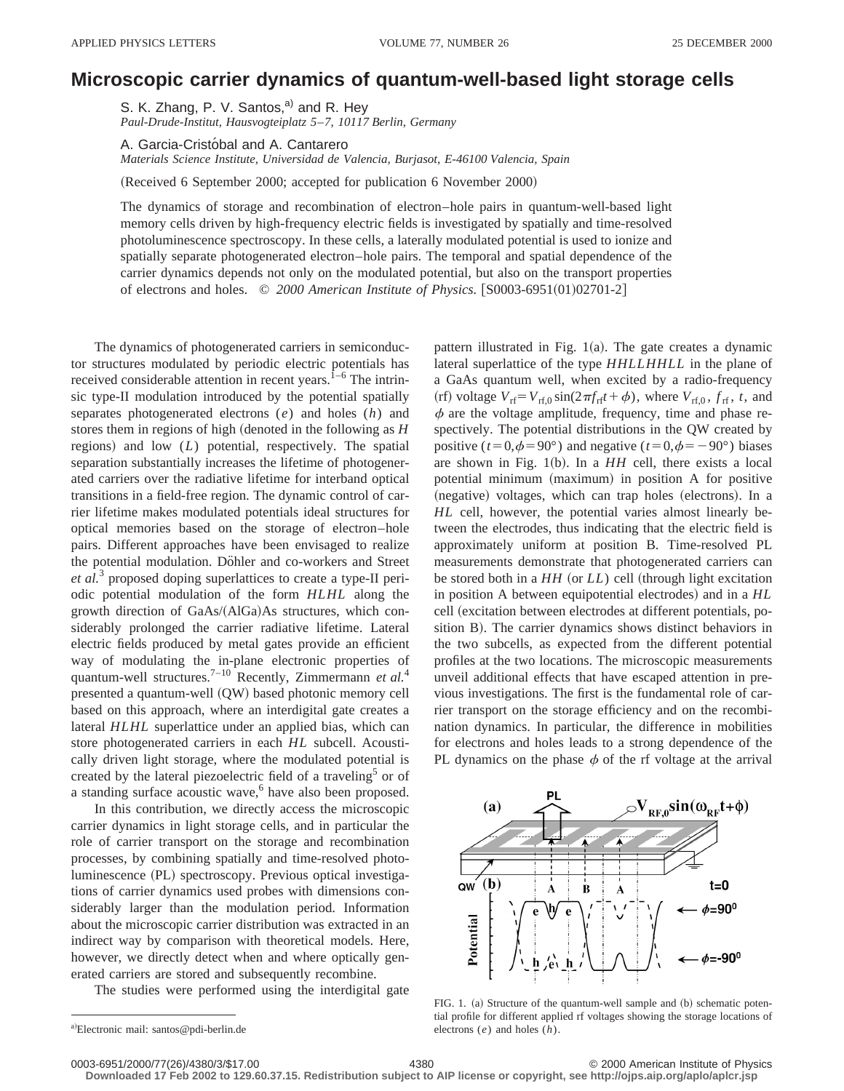## **Microscopic carrier dynamics of quantum-well-based light storage cells**

S. K. Zhang, P. V. Santos,<sup>a)</sup> and R. Hey *Paul-Drude-Institut, Hausvogteiplatz 5*–*7, 10117 Berlin, Germany*

A. Garcia-Cristobal and A. Cantarero *Materials Science Institute, Universidad de Valencia, Burjasot, E-46100 Valencia, Spain*

(Received 6 September 2000; accepted for publication 6 November 2000)

The dynamics of storage and recombination of electron–hole pairs in quantum-well-based light memory cells driven by high-frequency electric fields is investigated by spatially and time-resolved photoluminescence spectroscopy. In these cells, a laterally modulated potential is used to ionize and spatially separate photogenerated electron–hole pairs. The temporal and spatial dependence of the carrier dynamics depends not only on the modulated potential, but also on the transport properties of electrons and holes.  $\degree$  *2000 American Institute of Physics.* [S0003-6951(01)02701-2]

The dynamics of photogenerated carriers in semiconductor structures modulated by periodic electric potentials has received considerable attention in recent years.<sup>1–6</sup> The intrinsic type-II modulation introduced by the potential spatially separates photogenerated electrons (*e*) and holes (*h*) and stores them in regions of high (denoted in the following as  $H$ regions) and low (*L*) potential, respectively. The spatial separation substantially increases the lifetime of photogenerated carriers over the radiative lifetime for interband optical transitions in a field-free region. The dynamic control of carrier lifetime makes modulated potentials ideal structures for optical memories based on the storage of electron–hole pairs. Different approaches have been envisaged to realize the potential modulation. Döhler and co-workers and Street *et al.*<sup>3</sup> proposed doping superlattices to create a type-II periodic potential modulation of the form *HLHL* along the growth direction of GaAs/(AlGa)As structures, which considerably prolonged the carrier radiative lifetime. Lateral electric fields produced by metal gates provide an efficient way of modulating the in-plane electronic properties of quantum-well structures.7–10 Recently, Zimmermann *et al.*<sup>4</sup> presented a quantum-well (QW) based photonic memory cell based on this approach, where an interdigital gate creates a lateral *HLHL* superlattice under an applied bias, which can store photogenerated carriers in each *HL* subcell. Acoustically driven light storage, where the modulated potential is created by the lateral piezoelectric field of a traveling<sup>5</sup> or of a standing surface acoustic wave, $6$  have also been proposed.

In this contribution, we directly access the microscopic carrier dynamics in light storage cells, and in particular the role of carrier transport on the storage and recombination processes, by combining spatially and time-resolved photoluminescence (PL) spectroscopy. Previous optical investigations of carrier dynamics used probes with dimensions considerably larger than the modulation period. Information about the microscopic carrier distribution was extracted in an indirect way by comparison with theoretical models. Here, however, we directly detect when and where optically generated carriers are stored and subsequently recombine.

The studies were performed using the interdigital gate

pattern illustrated in Fig.  $1(a)$ . The gate creates a dynamic lateral superlattice of the type *HHLLHHLL* in the plane of a GaAs quantum well, when excited by a radio-frequency  $(rf)$  voltage  $V_{rf} = V_{rf,0} \sin(2\pi f_{rf}t + \phi)$ , where  $V_{rf,0}$ ,  $f_{rf}$ , *t*, and  $\phi$  are the voltage amplitude, frequency, time and phase respectively. The potential distributions in the QW created by positive ( $t=0, \phi=90^{\circ}$ ) and negative ( $t=0, \phi=-90^{\circ}$ ) biases are shown in Fig. 1(b). In a  $HH$  cell, there exists a local potential minimum (maximum) in position A for positive (negative) voltages, which can trap holes (electrons). In a *HL* cell, however, the potential varies almost linearly between the electrodes, thus indicating that the electric field is approximately uniform at position B. Time-resolved PL measurements demonstrate that photogenerated carriers can be stored both in a  $HH$  (or  $LL$ ) cell (through light excitation in position A between equipotential electrodes) and in a  $HL$ cell (excitation between electrodes at different potentials, position B). The carrier dynamics shows distinct behaviors in the two subcells, as expected from the different potential profiles at the two locations. The microscopic measurements unveil additional effects that have escaped attention in previous investigations. The first is the fundamental role of carrier transport on the storage efficiency and on the recombination dynamics. In particular, the difference in mobilities for electrons and holes leads to a strong dependence of the PL dynamics on the phase  $\phi$  of the rf voltage at the arrival



FIG. 1. (a) Structure of the quantum-well sample and (b) schematic potential profile for different applied rf voltages showing the storage locations of electrons (*e*) and holes (*h*).

**Downloaded 17 Feb 2002 to 129.60.37.15. Redistribution subject to AIP license or copyright, see http://ojps.aip.org/aplo/aplcr.jsp**

a)Electronic mail: santos@pdi-berlin.de

<sup>0003-6951/2000/77(26)/4380/3/\$17.00 4380 4380 © 2000</sup> American Institute of Physics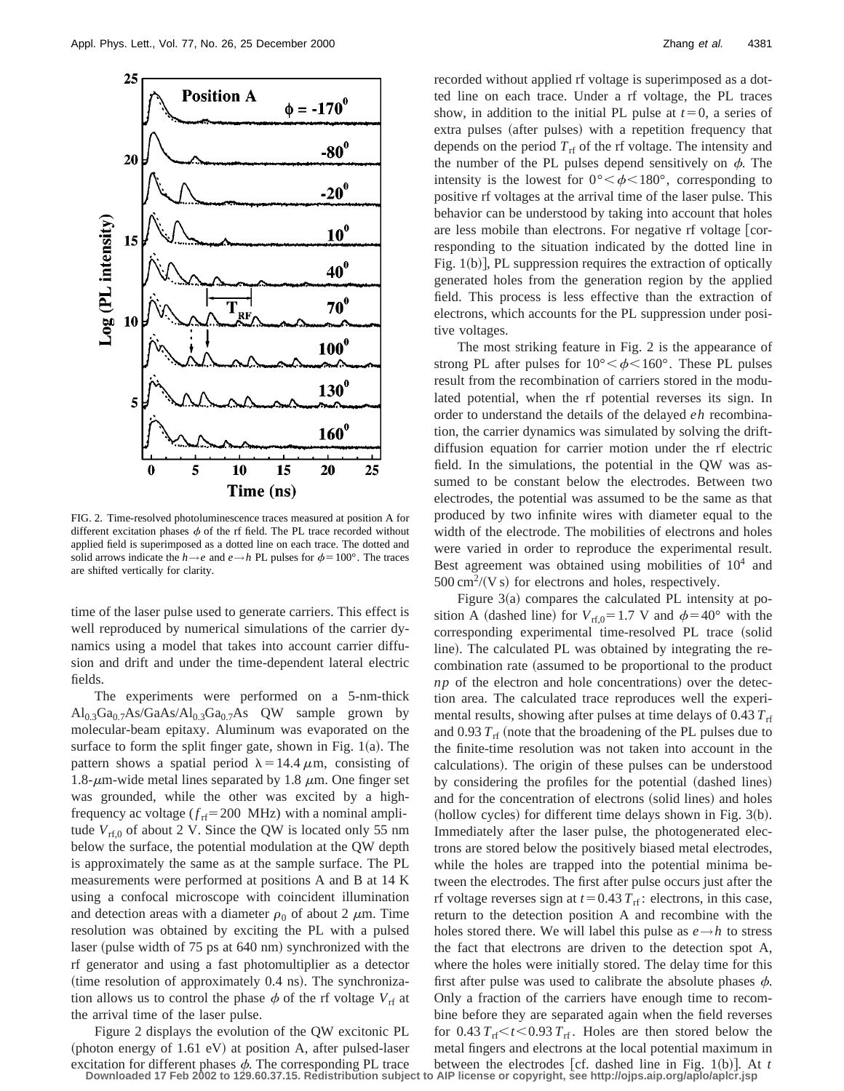

FIG. 2. Time-resolved photoluminescence traces measured at position A for different excitation phases  $\phi$  of the rf field. The PL trace recorded without applied field is superimposed as a dotted line on each trace. The dotted and solid arrows indicate the  $h \rightarrow e$  and  $e \rightarrow h$  PL pulses for  $\phi = 100^{\circ}$ . The traces are shifted vertically for clarity.

Time (ns)

time of the laser pulse used to generate carriers. This effect is well reproduced by numerical simulations of the carrier dynamics using a model that takes into account carrier diffusion and drift and under the time-dependent lateral electric fields.

The experiments were performed on a 5-nm-thick  $Al_{0.3}Ga_{0.7}As/GaAs/Al_{0.3}Ga_{0.7}As$  QW sample grown by molecular-beam epitaxy. Aluminum was evaporated on the surface to form the split finger gate, shown in Fig.  $1(a)$ . The pattern shows a spatial period  $\lambda = 14.4 \mu$ m, consisting of 1.8- $\mu$ m-wide metal lines separated by 1.8  $\mu$ m. One finger set was grounded, while the other was excited by a highfrequency ac voltage  $(f_{\text{rf}}=200 \text{ MHz})$  with a nominal amplitude  $V_{\text{rf,0}}$  of about 2 V. Since the QW is located only 55 nm below the surface, the potential modulation at the QW depth is approximately the same as at the sample surface. The PL measurements were performed at positions A and B at 14 K using a confocal microscope with coincident illumination and detection areas with a diameter  $\rho_0$  of about 2  $\mu$ m. Time resolution was obtained by exciting the PL with a pulsed laser (pulse width of  $75$  ps at  $640$  nm) synchronized with the rf generator and using a fast photomultiplier as a detector  $(time$  resolution of approximately 0.4 ns). The synchronization allows us to control the phase  $\phi$  of the rf voltage  $V_{\text{rf}}$  at the arrival time of the laser pulse.

Figure 2 displays the evolution of the QW excitonic PL (photon energy of  $1.61$  eV) at position A, after pulsed-laser recorded without applied rf voltage is superimposed as a dotted line on each trace. Under a rf voltage, the PL traces show, in addition to the initial PL pulse at  $t=0$ , a series of extra pulses (after pulses) with a repetition frequency that depends on the period  $T<sub>rf</sub>$  of the rf voltage. The intensity and the number of the PL pulses depend sensitively on  $\phi$ . The intensity is the lowest for  $0^{\circ} < \phi < 180^{\circ}$ , corresponding to positive rf voltages at the arrival time of the laser pulse. This behavior can be understood by taking into account that holes are less mobile than electrons. For negative rf voltage [corresponding to the situation indicated by the dotted line in Fig.  $1(b)$ , PL suppression requires the extraction of optically generated holes from the generation region by the applied field. This process is less effective than the extraction of electrons, which accounts for the PL suppression under positive voltages.

The most striking feature in Fig. 2 is the appearance of strong PL after pulses for  $10^{\circ} < \phi < 160^{\circ}$ . These PL pulses result from the recombination of carriers stored in the modulated potential, when the rf potential reverses its sign. In order to understand the details of the delayed *eh* recombination, the carrier dynamics was simulated by solving the driftdiffusion equation for carrier motion under the rf electric field. In the simulations, the potential in the QW was assumed to be constant below the electrodes. Between two electrodes, the potential was assumed to be the same as that produced by two infinite wires with diameter equal to the width of the electrode. The mobilities of electrons and holes were varied in order to reproduce the experimental result. Best agreement was obtained using mobilities of  $10<sup>4</sup>$  and  $500 \text{ cm}^2 / (\text{V s})$  for electrons and holes, respectively.

Figure  $3(a)$  compares the calculated PL intensity at position A (dashed line) for  $V_{rf,0} = 1.7$  V and  $\phi = 40^{\circ}$  with the corresponding experimental time-resolved PL trace (solid line). The calculated PL was obtained by integrating the recombination rate (assumed to be proportional to the product  $np$  of the electron and hole concentrations) over the detection area. The calculated trace reproduces well the experimental results, showing after pulses at time delays of 0.43  $T_{\text{rf}}$ and 0.93  $T_{\text{rf}}$  (note that the broadening of the PL pulses due to the finite-time resolution was not taken into account in the calculations). The origin of these pulses can be understood by considering the profiles for the potential (dashed lines) and for the concentration of electrons (solid lines) and holes (hollow cycles) for different time delays shown in Fig.  $3(b)$ . Immediately after the laser pulse, the photogenerated electrons are stored below the positively biased metal electrodes, while the holes are trapped into the potential minima between the electrodes. The first after pulse occurs just after the rf voltage reverses sign at  $t=0.43 T_{\text{rf}}$ : electrons, in this case, return to the detection position A and recombine with the holes stored there. We will label this pulse as  $e \rightarrow h$  to stress the fact that electrons are driven to the detection spot A, where the holes were initially stored. The delay time for this first after pulse was used to calibrate the absolute phases  $\phi$ . Only a fraction of the carriers have enough time to recombine before they are separated again when the field reverses for 0.43  $T_{\text{rf}} < t < 0.93 T_{\text{rf}}$ . Holes are then stored below the metal fingers and electrons at the local potential maximum in

excitation for different phases  $\phi$ . The corresponding PL trace between the electrodes [cf. dashed line in Fig. 1(b)]. At t<br>Downloaded 17 Feb 2002 to 129.60.37.15. Redistribution subject to AlP license or copyright, see